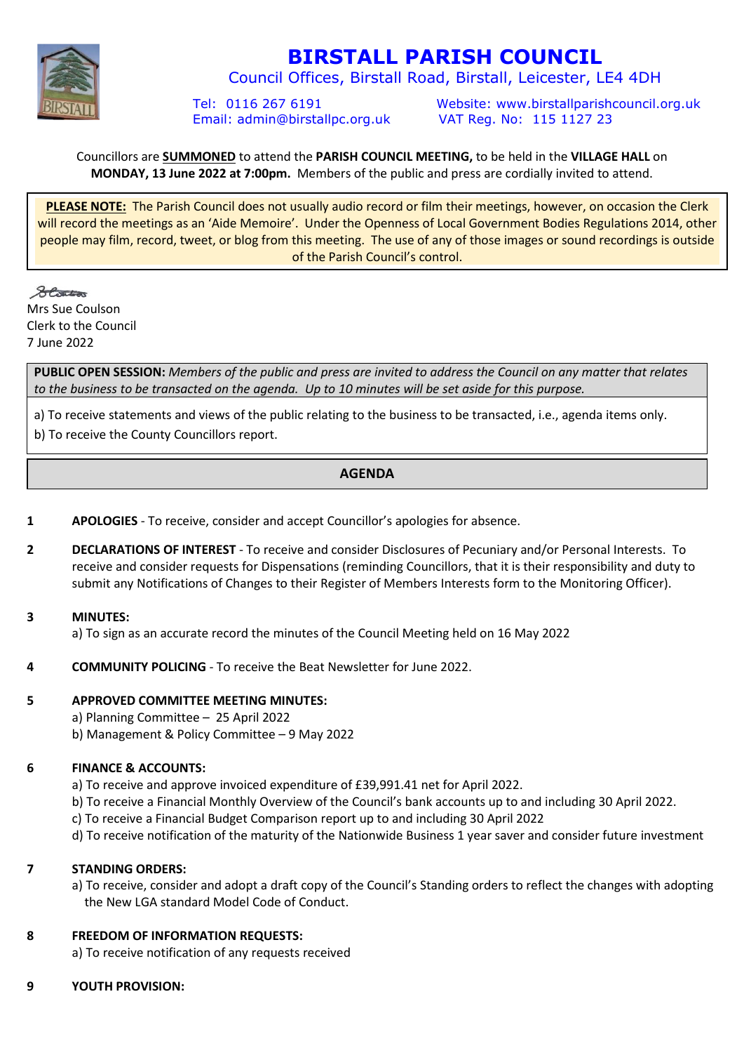

# **BIRSTALL PARISH COUNCIL**

Council Offices, Birstall Road, Birstall, Leicester, LE4 4DH

Email: admin@birstallpc.org.uk VAT Reg. No: 115 1127 23

Tel: 0116 267 6191 Website: www.birstallparishcouncil.org.uk

# Councillors are **SUMMONED** to attend the **PARISH COUNCIL MEETING,** to be held in the **VILLAGE HALL** on **MONDAY, 13 June 2022 at 7:00pm.** Members of the public and press are cordially invited to attend.

**PLEASE NOTE:** The Parish Council does not usually audio record or film their meetings, however, on occasion the Clerk will record the meetings as an 'Aide Memoire'. Under the Openness of Local Government Bodies Regulations 2014, other people may film, record, tweet, or blog from this meeting. The use of any of those images or sound recordings is outside of the Parish Council's control.

States Mrs Sue Coulson Clerk to the Council 7 June 2022

**PUBLIC OPEN SESSION:** *Members of the public and press are invited to address the Council on any matter that relates to the business to be transacted on the agenda. Up to 10 minutes will be set aside for this purpose.*

a) To receive statements and views of the public relating to the business to be transacted, i.e., agenda items only. b) To receive the County Councillors report.

# **AGENDA**

- **1 APOLOGIES**  To receive, consider and accept Councillor's apologies for absence.
- **2 DECLARATIONS OF INTEREST**  To receive and consider Disclosures of Pecuniary and/or Personal Interests. To receive and consider requests for Dispensations (reminding Councillors, that it is their responsibility and duty to submit any Notifications of Changes to their Register of Members Interests form to the Monitoring Officer).

# **3 MINUTES:**

a) To sign as an accurate record the minutes of the Council Meeting held on 16 May 2022

**4 COMMUNITY POLICING** - To receive the Beat Newsletter for June 2022.

#### **5 APPROVED COMMITTEE MEETING MINUTES:**

- a) Planning Committee 25 April 2022
- b) Management & Policy Committee 9 May 2022

# **6 FINANCE & ACCOUNTS:**

- a) To receive and approve invoiced expenditure of £39,991.41 net for April 2022.
- b) To receive a Financial Monthly Overview of the Council's bank accounts up to and including 30 April 2022.
- c) To receive a Financial Budget Comparison report up to and including 30 April 2022
- d) To receive notification of the maturity of the Nationwide Business 1 year saver and consider future investment

# **7 STANDING ORDERS:**

a) To receive, consider and adopt a draft copy of the Council's Standing orders to reflect the changes with adopting the New LGA standard Model Code of Conduct.

# **8 FREEDOM OF INFORMATION REQUESTS:**

- a) To receive notification of any requests received
- **9 YOUTH PROVISION:**